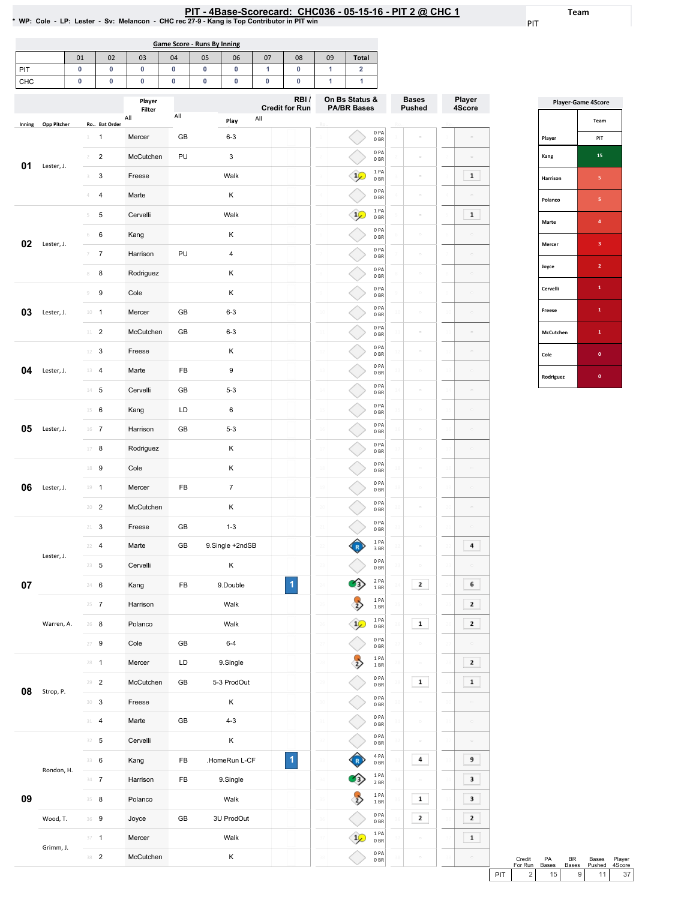#### PIT - 4Base-Scorecard: CHC036 - 05-15-16 - PIT 2 @ CHC 1

Bases Pushed

 $\sim$  $\mathcal{O}$ 

 $\sim$ 

 $\sim$ 

Ro..

Player 4Score

 $\boxed{\phantom{1}1}$ 

 $\boxed{\phantom{1}1}$ 

Team

PIT

|        |                    |    |                |                | * WP: Cole - LP: Lester - Sv: Melancon - CHC rec 27-9 - Kang is Top Contributor in PIT win |                             | .  |                | TRUY YVVIVVUM. |                               | ----- |                                      |                         |
|--------|--------------------|----|----------------|----------------|--------------------------------------------------------------------------------------------|-----------------------------|----|----------------|----------------|-------------------------------|-------|--------------------------------------|-------------------------|
|        |                    |    |                |                |                                                                                            | Game Score - Runs By Inning |    |                |                |                               |       |                                      |                         |
|        |                    | 01 |                | 02             | 03                                                                                         | 04                          | 05 | 06             | 07             | 08                            | 09    | <b>Total</b>                         |                         |
| PIT    |                    | 0  |                | $\pmb{0}$      | $\mathbf 0$                                                                                | 0                           | 0  | 0              | 1              | 0                             | 1     | $\overline{\mathbf{2}}$              |                         |
| CHC    |                    | 0  |                | 0              | $\mathbf 0$                                                                                | $\mathbf 0$                 | 0  | 0              | $\mathbf 0$    | $\mathbf 0$                   | 1     | $\mathbf{1}$                         |                         |
|        |                    |    |                |                | Player<br>Filter                                                                           |                             |    |                |                | RBI/<br><b>Credit for Run</b> |       | On Bs Status &<br><b>PA/BR Bases</b> |                         |
| Inning | <b>Opp Pitcher</b> |    |                | Ro., Bat Order | All                                                                                        | All                         |    | Play           | All            |                               | Ro.   |                                      |                         |
|        |                    |    | $\mathbf{1}$   | $\mathbf{1}$   | Mercer                                                                                     | <b>GB</b>                   |    | $6 - 3$        |                |                               |       |                                      | 0PA<br>0 <sub>BR</sub>  |
| 01     | Lester, J.         |    | $\overline{2}$ | 2              | McCutchen                                                                                  | PU                          |    | 3              |                |                               |       |                                      | 0PA<br>0 <sub>BR</sub>  |
|        |                    |    | 3              | $\mathbf{3}$   | Freese                                                                                     |                             |    | Walk           |                |                               |       | $\mathbf{1}_{\mathcal{L}}$           | 1PA<br>0 <sub>BR</sub>  |
|        |                    |    | 4              | $\overline{4}$ | Marte                                                                                      |                             |    | K              |                |                               | 4     |                                      | 0PA<br>0BR              |
|        |                    |    | 5              | 5              | Cervelli                                                                                   |                             |    | Walk           |                |                               |       | $1\mathcal{L}$                       | 1 PA<br>0 <sub>BR</sub> |
|        |                    |    | 6              | 6              | Kang                                                                                       |                             |    | K              |                |                               | 6     |                                      | 0PA<br>0BR              |
|        | 02<br>Lester, J.   |    | 7              | $\overline{7}$ | Harrison                                                                                   | PU                          |    | $\overline{4}$ |                |                               |       |                                      | 0PA<br>0 <sub>BR</sub>  |
|        |                    |    | 8              | 8              | Rodriguez                                                                                  |                             |    | K              |                |                               |       |                                      | 0PA<br>0BR              |
|        |                    |    | 9              | 9              | Cole                                                                                       |                             |    | K              |                |                               |       |                                      | 0PA<br>0.00             |

|           | <b>Player-Game 4Score</b> |
|-----------|---------------------------|
|           | Team                      |
| Player    | PIT                       |
| Kang      | 15                        |
| Harrison  | 5                         |
| Polanco   | 5                         |
| Marte     | 4                         |
| Mercer    | 3                         |
| Joyce     | $\overline{2}$            |
| Cervelli  | $\mathbf{1}$              |
| Freese    | $\mathbf{1}$              |
| McCutchen | 1                         |
| Cole      | $\mathbf{0}$              |
| Rodriguez | O                         |

| 02 | Lester, J. | 6              | 6                | Kang      | Κ                     |   |                 |                  | .<br>0 <sub>BR</sub>                    |                                      |                  |                |
|----|------------|----------------|------------------|-----------|-----------------------|---|-----------------|------------------|-----------------------------------------|--------------------------------------|------------------|----------------|
|    |            | 7              | $\boldsymbol{7}$ | Harrison  | PU<br>$\overline{4}$  |   |                 |                  | 0PA<br>0BR                              | $\sim$                               |                  |                |
|    |            | $\,$ $\,$      | 8                | Rodriguez | Κ                     |   | 8               |                  | 0PA<br>0B                               | $\alpha$                             |                  |                |
|    |            | $\circledcirc$ | 9                | Cole      | Κ                     |   |                 |                  | 0PA<br>0BR                              | $\hskip10mm\Box$                     |                  |                |
| 03 | Lester, J. |                | $10 - 1$         | Mercer    | $6 - 3$<br>GB         |   | 10              |                  | 0PA<br>0 <sub>BR</sub>                  | $\Box$                               |                  |                |
|    |            | $11\,$         | $\overline{c}$   | McCutchen | GB<br>$6 - 3$         |   | $\overline{11}$ |                  | 0PA<br>0 <sub>BR</sub>                  | $\alpha$                             |                  |                |
|    |            | 12             | 3                | Freese    | Κ                     |   | 12              |                  | 0PA<br>0 <sub>BR</sub>                  | $\equiv$                             |                  |                |
| 04 | Lester, J. |                | 13 4             | Marte     | FB<br>9               |   |                 |                  | 0PA<br>0B                               |                                      |                  |                |
|    |            |                | $14$ 5           | Cervelli  | GB<br>$5 - 3$         |   | 14              |                  | 0PA<br>0 <sub>BR</sub>                  | $\sim$                               |                  |                |
|    |            | 15             | 6                | Kang      | LD<br>6               |   | 15              |                  | 0PA<br>0B                               | $\circ$                              |                  |                |
| 05 | Lester, J. |                | $16$ 7           | Harrison  | GB<br>$5 - 3$         |   | 16              |                  | 0PA<br>0 <sub>BR</sub>                  | $\hskip10pt\hskip10pt\hskip10pt\Box$ | $\hskip10mm\Box$ |                |
|    |            | 17             | 8                | Rodriguez | Κ                     |   |                 |                  | 0PA<br>0 <sub>BR</sub>                  | $\Box$                               |                  |                |
|    |            | 18             | 9                | Cole      | Κ                     |   | 18              |                  | 0PA<br>0 <sub>BR</sub>                  | $\equiv$                             |                  |                |
| 06 | Lester, J. |                | $19 - 1$         | Mercer    | FB<br>$\overline{7}$  |   | 19              |                  | 0PA<br>0BR                              | $\sim$                               |                  |                |
|    |            |                | $20 - 2$         | McCutchen | Κ                     |   | 20              |                  | 0PA<br>0B                               |                                      |                  |                |
|    |            | $21 -$         | 3                | Freese    | $1 - 3$<br>GB         |   |                 |                  | 0PA<br>0 BR                             | $\sim$                               |                  |                |
|    | Lester, J. | 22             | 4                | Marte     | 9.Single +2ndSB<br>GB |   | ÿ,              |                  | 1PA<br>3 BR                             | $\equiv$                             | 4                |                |
|    |            |                | $23 - 5$         | Cervelli  | Κ                     |   |                 |                  | 0PA<br>0 <sub>BR</sub>                  |                                      |                  |                |
| 07 |            | $24 -$         | 6                | Kang      | FB<br>9.Double        | 1 | 24              | (3)              | 2 PA<br>1 BR                            | 2                                    | 6                |                |
|    |            |                | $25 \t 7$        | Harrison  | Walk                  |   | 25              | $\sum_{i=1}^{n}$ | 1PA<br>1BR                              |                                      | $\mathbf{z}$     |                |
|    | Warren, A. |                | $26 - 8$         | Polanco   | Walk                  |   | 26              | $\frac{1}{2}$    | 1PA<br>0 <sub>BR</sub>                  | $\mathbf{1}$                         | 2                |                |
|    |            | 27             | 9                | Cole      | GB<br>$6 - 4$         |   |                 |                  | 0PA<br>0 <sub>BR</sub>                  |                                      |                  |                |
|    |            | $28 - 1$       |                  | Mercer    | LD<br>9.Single        |   | 28              | $\frac{1}{2}$    | 1PA<br>1 BR                             |                                      | 2                |                |
| 08 | Strop, P.  | 29             | $\overline{2}$   | McCutchen | 5-3 ProdOut<br>GB     |   | 29              |                  | 0PA<br>0B                               | $\mathbf 1$                          | $\mathbf 1$      |                |
|    |            | 30             | 3                | Freese    | Κ                     |   | 30              |                  | 0PA<br>0 <sub>BR</sub>                  | $\hskip10mm\Box$                     | $\Box$           |                |
|    |            | 31             | 4                | Marte     | GB<br>$4 - 3$         |   |                 |                  | 0PA<br>0 <sub>BR</sub>                  | $\equiv$                             | $\hfill \square$ |                |
|    |            | 32             | 5                | Cervelli  | Κ                     |   |                 |                  | 0PA<br>0 BR                             |                                      |                  |                |
|    | Rondon, H. |                | 33 6             | Kang      | FB<br>.HomeRun L-CF   | 1 | 33              |                  | 4 PA<br>0B                              | 4                                    | 9                |                |
|    |            |                | $34 \t 7$        | Harrison  | FB<br>9.Single        |   | 34              | З                | 1PA<br>$2$ BR $\,$                      |                                      | 3                |                |
| 09 |            |                | $35 - 8$         | Polanco   | Walk                  |   | 35              | $\rightarrow$    | $1\ \mathsf{PA}$<br>$1\;\mathrm{BR}$    | $\mathbf 1$                          | 3                |                |
|    | Wood, T.   |                | 36 9             | Joyce     | GB<br>3U ProdOut      |   | 36              |                  | $0$ PA<br>$0\;\ensuremath{\mathsf{BR}}$ | $\mathbf{z}$                         | $\mathbf{z}$     |                |
|    | Grimm, J.  |                | $37 - 1$         | Mercer    | Walk                  |   | 37              | $\frac{1}{2}$    | 1 PA<br>0 <sub>BR</sub>                 | $\equiv$                             | $\mathbf 1$      |                |
|    |            |                | 38 2             | McCutchen | Κ                     |   | 38              |                  | 0PA<br>0B                               | $\equiv$                             |                  |                |
|    |            |                |                  |           |                       |   |                 |                  |                                         |                                      |                  | $\overline{r}$ |

Credit For Run  $\begin{array}{c} 2 \end{array}$ Credit PA BR Bases Player<br>
For Run Bases Bases Pushed 4Score<br>
PIT 2 15 9 11 37 BR Bases Bases Pushed Player 4Score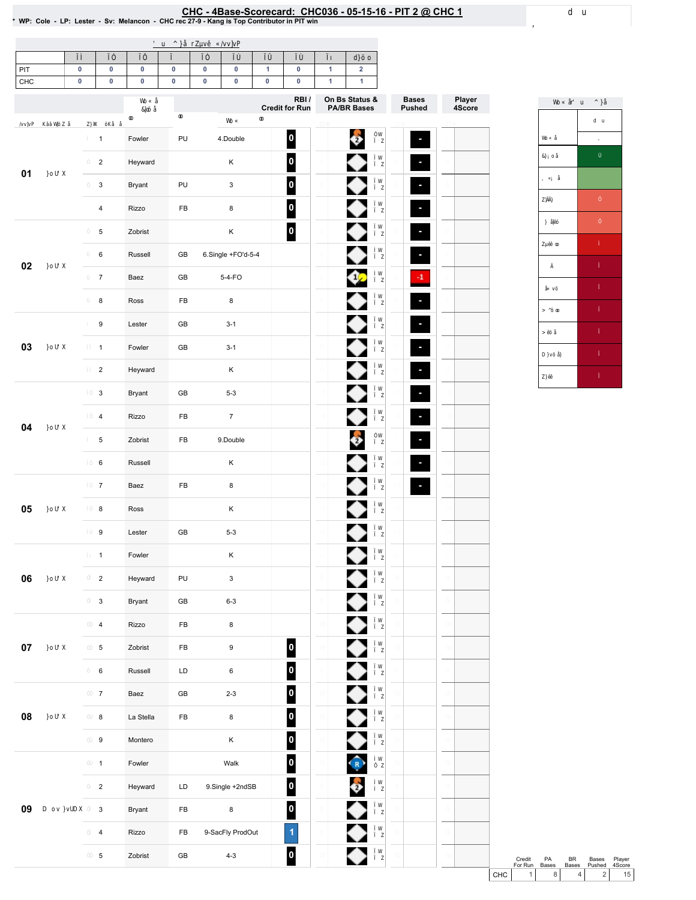# EHC - 4Base-Scorecard: CHC036 - 05-15-16 - PIT 2 @ CHC 1 لا WP: Cole - LP: Lester - Sv: Melancon - CHC rec 27-9 - Kang is Top Contributor in PIT win

| PIT    | $\pmb{0}$ | $\pmb{0}$                 | $\pmb{0}$ | $\pmb{0}$  | $\pmb{0}$ | 0                         | $\mathbf{1}$ | 0                        | $\mathbf{1}$ | $\overline{\mathbf{2}}$        |              |        |
|--------|-----------|---------------------------|-----------|------------|-----------|---------------------------|--------------|--------------------------|--------------|--------------------------------|--------------|--------|
| CHC    | $\pmb{0}$ | $\pmb{0}$                 | $\pmb{0}$ | $\pmb{0}$  | $\pmb{0}$ | $\pmb{0}$                 | 0            | 0<br>RBI/                | $\mathbf{1}$ | $\mathbf{1}$<br>On Bs Status & | <b>Bases</b> | Player |
|        |           |                           |           |            |           |                           |              | <b>Credit for Run</b>    |              | <b>PA/BR Bases</b>             | Pushed       | 4Score |
|        |           | $\mathbf{1}$              | Fowler    | PU         |           | 4.Double                  |              | $\overline{\phantom{a}}$ |              | o                              | ×,           |        |
|        |           | $\overline{2}$            | Heyward   |            |           | Κ                         |              | $\overline{\mathbf{0}}$  |              |                                |              |        |
| 01     |           | $\mathsf 3$               | Bryant    | PU         |           | $\mathbf{3}$              |              | 0                        |              | ◆                              |              |        |
|        |           | $\overline{4}$            | Rizzo     | FB         |           | 8                         |              | $\vert$ 0                |              |                                | ٠            |        |
|        |           | $\,$ 5 $\,$               | Zobrist   |            |           | $\sf K$                   |              | 0                        |              | ●                              |              |        |
|        |           | 6                         | Russell   | GB         |           | 6.Single +FO'd-5-4        |              |                          |              |                                |              |        |
| 02     |           | $\overline{7}$            | Baez      | GB         |           | $5-4-FO$                  |              |                          |              | $1\sqrt{ }$                    | $\cdot$ 1    |        |
|        |           | $\bf 8$                   | Ross      | FB         |           | 8                         |              |                          |              |                                | ٠            |        |
|        |           | $\boldsymbol{9}$          | Lester    | GB         |           | $3 - 1$                   |              |                          |              |                                | ٠            |        |
| 03     |           | $\mathbf{1}$              | Fowler    | GB         |           | $3 - 1$                   |              |                          |              | ◆                              |              |        |
|        |           | $\overline{2}$            | Heyward   |            |           | Κ                         |              |                          |              |                                |              |        |
|        |           | $\ensuremath{\mathsf{3}}$ | Bryant    | GB         |           | $5 - 3$                   |              |                          |              |                                |              |        |
|        |           | $\overline{\mathbf{4}}$   | Rizzo     | FB         |           | $\overline{7}$            |              |                          |              | ◆                              |              |        |
| 04     | 5         | Zobrist                   | FB        |            | 9.Double  |                           |              |                          | ê            |                                |              |        |
|        |           | $\,6\,$                   | Russell   |            |           | Κ                         |              |                          |              |                                |              |        |
|        |           | $\overline{7}$            | Baez      | FB         |           | 8                         |              |                          |              |                                | ٠            |        |
| 05     |           | $\bf 8$                   | Ross      |            |           | $\sf K$                   |              |                          |              |                                |              |        |
|        |           | $\boldsymbol{9}$          | Lester    | GB         |           | $5 - 3$                   |              |                          |              |                                |              |        |
|        |           | $\mathbf{1}$              | Fowler    |            |           | Κ                         |              |                          |              | ♥                              |              |        |
| 06     |           | $\overline{2}$            | Heyward   | PU         |           | $\ensuremath{\mathsf{3}}$ |              |                          |              | ◆                              |              |        |
|        |           | $\mathsf 3$               | Bryant    | GB         |           | $6 - 3$                   |              |                          |              | ♦                              |              |        |
|        |           | $\overline{4}$            | Rizzo     | ${\sf FB}$ |           | 8                         |              |                          |              | ♦                              |              |        |
| $07\,$ |           | $\overline{5}$            | Zobrist   | FB         |           | 9                         |              | $\overline{\phantom{a}}$ |              | ♦                              |              |        |
|        |           | $\,6\,$                   | Russell   | LD         |           | 6                         |              | $\overline{\phantom{a}}$ |              | ♦                              |              |        |
|        |           | $\overline{7}$            | Baez      | ${\sf GB}$ |           | $2 - 3$                   |              | $\overline{\mathbf{0}}$  |              | ♦                              |              |        |
| 08     |           | $\bf 8$                   | La Stella | ${\sf FB}$ |           | 8                         |              | $\overline{\mathbf{0}}$  |              | ♦                              |              |        |
|        |           | $\boldsymbol{9}$          | Montero   |            |           | Κ                         |              | 0                        |              | ♦                              |              |        |
|        |           | $\mathbf{1}$              | Fowler    |            |           | Walk                      |              | $\overline{\phantom{a}}$ |              | $\bigodot$                     |              |        |
|        |           | $\overline{2}$            | Heyward   | LD         |           | 9.Single +2ndSB           |              | $\vert$ 0                |              | ÷                              |              |        |
| 09     |           | $\mathsf 3$               | Bryant    | FB         |           | 8                         |              | $\overline{\mathbf{0}}$  |              |                                |              |        |
|        |           | $\overline{\mathbf{4}}$   | Rizzo     | FB         |           | 9-SacFly ProdOut          |              | $\overline{1}$           |              | ♦                              |              |        |
|        |           | $\,$ 5 $\,$               | Zobrist   | GB         |           | $4 - 3$                   |              | $\overline{\phantom{a}}$ |              | ♦                              |              |        |
|        |           |                           |           |            |           |                           |              |                          |              |                                |              |        |



Credit PA BR Bases Player<br>
For Run Bases Bases Pushed 4Score<br>
CHC 1 8 4 2 15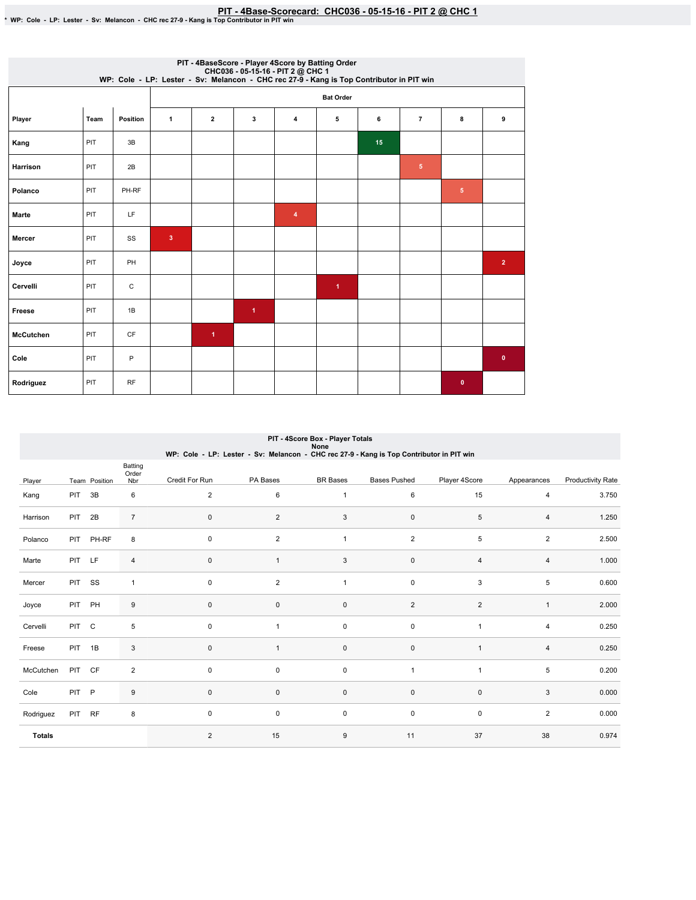## PIT - 4Base-Scorecard: CHC036 - 05-15-16 - PIT 2 @ CHC 1 بـ PWP: Cole - LP: Lester - Sv: Melancon - CHC rec 27-9 - Kang is Top Contributor in PIT win

|                  |      |          |                         |                      |                      | PIT - 4BaseScore - Player 4Score by Batting Order<br>CHC036 - 05-15-16 - PIT 2 @ CHC 1<br>WP: Cole - LP: Lester - Sv: Melancon - CHC rec 27-9 - Kang is Top Contributor in PIT win |                      |    |                |                 |                |
|------------------|------|----------|-------------------------|----------------------|----------------------|------------------------------------------------------------------------------------------------------------------------------------------------------------------------------------|----------------------|----|----------------|-----------------|----------------|
|                  |      |          |                         |                      |                      |                                                                                                                                                                                    | <b>Bat Order</b>     |    |                |                 |                |
| Player           | Team | Position | $\mathbf{1}$            | $\overline{2}$       | 3                    | 4                                                                                                                                                                                  | 5                    | 6  | $\overline{7}$ | 8               | 9              |
| Kang             | PIT  | 3B       |                         |                      |                      |                                                                                                                                                                                    |                      | 15 |                |                 |                |
| <b>Harrison</b>  | PIT  | 2B       |                         |                      |                      |                                                                                                                                                                                    |                      |    | $\sqrt{5}$     |                 |                |
| Polanco          | PIT  | PH-RF    |                         |                      |                      |                                                                                                                                                                                    |                      |    |                | $5\phantom{.0}$ |                |
| <b>Marte</b>     | PIT  | LF       |                         |                      |                      | 4                                                                                                                                                                                  |                      |    |                |                 |                |
| Mercer           | PIT  | SS       | $\overline{\mathbf{3}}$ |                      |                      |                                                                                                                                                                                    |                      |    |                |                 |                |
| Joyce            | PIT  | PH       |                         |                      |                      |                                                                                                                                                                                    |                      |    |                |                 | $\overline{2}$ |
| Cervelli         | PIT  | С        |                         |                      |                      |                                                                                                                                                                                    | $\blacktriangleleft$ |    |                |                 |                |
| Freese           | PIT  | 1B       |                         |                      | $\blacktriangleleft$ |                                                                                                                                                                                    |                      |    |                |                 |                |
| <b>McCutchen</b> | PIT  | CF       |                         | $\blacktriangleleft$ |                      |                                                                                                                                                                                    |                      |    |                |                 |                |
| Cole             | PIT  | P        |                         |                      |                      |                                                                                                                                                                                    |                      |    |                |                 | $\bullet$      |
| Rodriguez        | PIT  | RF       |                         |                      |                      |                                                                                                                                                                                    |                      |    |                | $\bullet$       |                |

|               |            |               |                         | WP: Cole - LP: Lester - Sv: Melancon - CHC rec 27-9 - Kang is Top Contributor in PIT win |                | PIT - 4Score Box - Player Totals<br>None |                     |                |                |                          |
|---------------|------------|---------------|-------------------------|------------------------------------------------------------------------------------------|----------------|------------------------------------------|---------------------|----------------|----------------|--------------------------|
| Player        |            | Team Position | Batting<br>Order<br>Nbr | Credit For Run                                                                           | PA Bases       | <b>BR</b> Bases                          | <b>Bases Pushed</b> | Player 4Score  | Appearances    | <b>Productivity Rate</b> |
| Kang          | PIT        | 3B            | 6                       | $\overline{2}$                                                                           | 6              | $\mathbf{1}$                             | 6                   | 15             | 4              | 3.750                    |
| Harrison      | PIT        | 2B            | $\overline{7}$          | $\mathbf 0$                                                                              | $\overline{2}$ | 3                                        | $\mathsf 0$         | 5              | $\overline{4}$ | 1.250                    |
| Polanco       | <b>PIT</b> | PH-RF         | 8                       | $\mathbf 0$                                                                              | 2              | $\mathbf{1}$                             | $\overline{2}$      | 5              | $\overline{2}$ | 2.500                    |
| Marte         | PIT        | LF            | $\overline{4}$          | $\mathbf{0}$                                                                             | 1              | 3                                        | $\mathsf 0$         | $\overline{4}$ | 4              | 1.000                    |
| Mercer        | <b>PIT</b> | SS            | $\mathbf{1}$            | $\mathbf 0$                                                                              | $\overline{2}$ | $\mathbf{1}$                             | $\mathsf 0$         | 3              | 5              | 0.600                    |
| Joyce         | PIT        | PH            | 9                       | $\mathbf 0$                                                                              | $\mathbf 0$    | 0                                        | $\overline{2}$      | $\overline{2}$ | $\mathbf{1}$   | 2.000                    |
| Cervelli      | <b>PIT</b> | $\mathsf{C}$  | 5                       | $\mathbf 0$                                                                              | $\mathbf{1}$   | $\mathbf 0$                              | $\mathsf 0$         | $\overline{1}$ | 4              | 0.250                    |
| Freese        | PIT        | 1B            | 3                       | $\mathbf{0}$                                                                             | $\mathbf{1}$   | $\mathsf 0$                              | $\mathsf 0$         | $\overline{1}$ | $\overline{4}$ | 0.250                    |
| McCutchen     | PIT CF     |               | $\overline{c}$          | $\mathbf 0$                                                                              | $\mathbf 0$    | $\mathsf{O}\xspace$                      | $\overline{1}$      | $\overline{1}$ | 5              | 0.200                    |
| Cole          | PIT        | P             | 9                       | $\mathbf{0}$                                                                             | $\mathbf{0}$   | $\mathsf 0$                              | $\mathbf{0}$        | $\mathbf 0$    | 3              | 0.000                    |
| Rodriguez     | PIT        | <b>RF</b>     | 8                       | $\mathbf 0$                                                                              | 0              | $\mathsf 0$                              | $\mathsf 0$         | $\mathsf 0$    | $\overline{2}$ | 0.000                    |
| <b>Totals</b> |            |               |                         | 2                                                                                        | 15             | $9\,$                                    | 11                  | 37             | 38             | 0.974                    |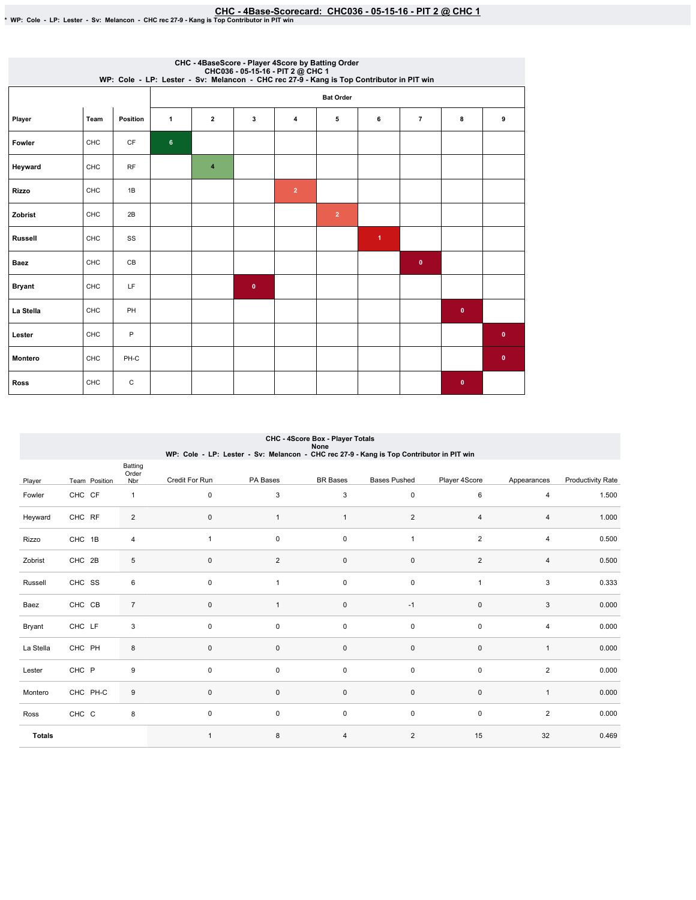## CHC-4Base-Scorecard:CHC036-05-15-16-PIT2@ CHC1 \*WP:Cole-LP:Lester-Sv:Melancon-CHCrec27-9-KangisTopContributorinPITwin

|                |            |                 |                |                         |           |                | CHC - 4BaseScore - Player 4Score by Batting Order<br>CHC036 - 05-15-16 - PIT 2 @ CHC 1<br>WP: Cole - LP: Lester - Sv: Melancon - CHC rec 27-9 - Kang is Top Contributor in PIT win |                      |                |             |              |
|----------------|------------|-----------------|----------------|-------------------------|-----------|----------------|------------------------------------------------------------------------------------------------------------------------------------------------------------------------------------|----------------------|----------------|-------------|--------------|
|                |            |                 |                |                         |           |                | <b>Bat Order</b>                                                                                                                                                                   |                      |                |             |              |
| Player         | Team       | <b>Position</b> | $\mathbf{1}$   | $\overline{2}$          | 3         | 4              | 5                                                                                                                                                                                  | 6                    | $\overline{7}$ | 8           | 9            |
| Fowler         | CHC        | CF              | $6\phantom{a}$ |                         |           |                |                                                                                                                                                                                    |                      |                |             |              |
| Heyward        | CHC        | <b>RF</b>       |                | $\overline{\mathbf{4}}$ |           |                |                                                                                                                                                                                    |                      |                |             |              |
| <b>Rizzo</b>   | CHC        | 1B              |                |                         |           | $\overline{2}$ |                                                                                                                                                                                    |                      |                |             |              |
| Zobrist        | CHC        | 2B              |                |                         |           |                | $\overline{2}$                                                                                                                                                                     |                      |                |             |              |
| <b>Russell</b> | CHC        | SS              |                |                         |           |                |                                                                                                                                                                                    | $\blacktriangleleft$ |                |             |              |
| Baez           | CHC        | CB              |                |                         |           |                |                                                                                                                                                                                    |                      | $\bullet$      |             |              |
| <b>Bryant</b>  | CHC        | LF              |                |                         | $\bullet$ |                |                                                                                                                                                                                    |                      |                |             |              |
| La Stella      | CHC        | PH              |                |                         |           |                |                                                                                                                                                                                    |                      |                | $\mathbf 0$ |              |
| Lester         | CHC        | P               |                |                         |           |                |                                                                                                                                                                                    |                      |                |             | $\bullet$    |
| <b>Montero</b> | <b>CHC</b> | PH-C            |                |                         |           |                |                                                                                                                                                                                    |                      |                |             | $\mathbf{0}$ |
| <b>Ross</b>    | CHC        | C               |                |                         |           |                |                                                                                                                                                                                    |                      |                | $\bullet$   |              |

|               |               |                         | WP: Cole - LP: Lester - Sv: Melancon - CHC rec 27-9 - Kang is Top Contributor in PIT win |                | CHC - 4Score Box - Player Totals<br>None |                     |                |                |                          |
|---------------|---------------|-------------------------|------------------------------------------------------------------------------------------|----------------|------------------------------------------|---------------------|----------------|----------------|--------------------------|
| Player        | Team Position | Batting<br>Order<br>Nbr | Credit For Run                                                                           | PA Bases       | <b>BR</b> Bases                          | <b>Bases Pushed</b> | Player 4Score  | Appearances    | <b>Productivity Rate</b> |
| Fowler        | CHC CF        | $\mathbf{1}$            | $\mathbf 0$                                                                              | 3              | 3                                        | $\mathbf 0$         | 6              | 4              | 1.500                    |
| Heyward       | CHC RF        | $\overline{2}$          | $\pmb{0}$                                                                                | $\overline{1}$ | $\mathbf{1}$                             | $\overline{2}$      | $\overline{4}$ | $\overline{4}$ | 1.000                    |
| Rizzo         | CHC 1B        | $\overline{4}$          | $\mathbf{1}$                                                                             | $\mathsf 0$    | $\mathsf{O}\xspace$                      | 1                   | $\overline{2}$ | 4              | 0.500                    |
| Zobrist       | CHC 2B        | 5                       | $\pmb{0}$                                                                                | $\overline{2}$ | $\mathsf 0$                              | $\mathsf 0$         | $\overline{2}$ | 4              | 0.500                    |
| Russell       | CHC SS        | 6                       | 0                                                                                        | $\mathbf{1}$   | $\mathbf 0$                              | $\mathbf 0$         | $\overline{1}$ | 3              | 0.333                    |
| Baez          | CHC CB        | $\overline{7}$          | $\mathbf 0$                                                                              |                | $\mathsf{O}\xspace$                      | $-1$                | $\mathbf 0$    | 3              | 0.000                    |
| Bryant        | CHC LF        | 3                       | $\mathbf 0$                                                                              | $\mathbf 0$    | $\mathbf 0$                              | $\mathbf 0$         | $\pmb{0}$      | 4              | 0.000                    |
| La Stella     | CHC PH        | 8                       | $\pmb{0}$                                                                                | $\mathbf 0$    | $\pmb{0}$                                | $\mathsf{O}\xspace$ | $\mathbf 0$    | $\mathbf{1}$   | 0.000                    |
| Lester        | CHC P         | 9                       | $\pmb{0}$                                                                                | $\mathsf 0$    | $\mathbf 0$                              | $\mathbf 0$         | $\mathbf 0$    | $\overline{2}$ | 0.000                    |
| Montero       | CHC PH-C      | 9                       | $\pmb{0}$                                                                                | $\mathbf 0$    | $\mathbf 0$                              | $\mathsf{O}\xspace$ | $\pmb{0}$      | $\mathbf{1}$   | 0.000                    |
| Ross          | CHC C         | 8                       | 0                                                                                        | $\mathbf 0$    | $\mathbf 0$                              | $\mathbf 0$         | $\mathbf 0$    | $\overline{2}$ | 0.000                    |
| <b>Totals</b> |               |                         | $\mathbf{1}$                                                                             | 8              | $\overline{4}$                           | 2                   | 15             | 32             | 0.469                    |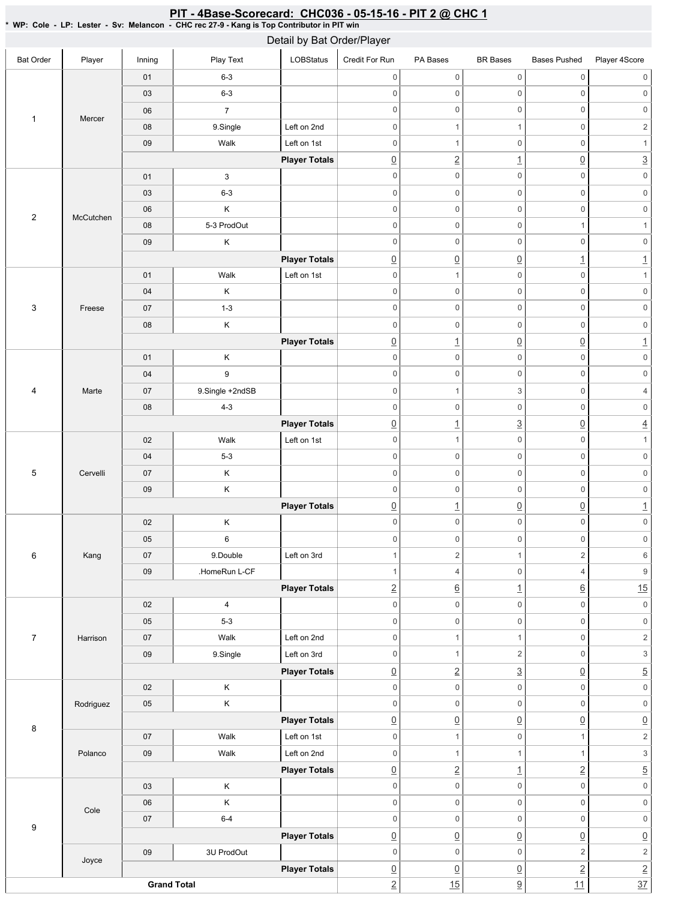| <b>Bat Order</b> | Player    | Inning             | Play Text       | Detail by Bat Order/Player<br>LOBStatus | Credit For Run                 | PA Bases                              | <b>BR</b> Bases               | <b>Bases Pushed</b>                    | Player 4Score |
|------------------|-----------|--------------------|-----------------|-----------------------------------------|--------------------------------|---------------------------------------|-------------------------------|----------------------------------------|---------------|
|                  |           | 01                 | $6 - 3$         |                                         | $\mathbf 0$                    | $\mathsf{O}\xspace$                   | $\mathsf 0$                   | $\mathsf{O}\xspace$                    |               |
|                  |           | 03                 | $6 - 3$         |                                         | $\mathbf 0$                    | $\mathsf{O}\xspace$                   | $\mathbf 0$                   | $\mathsf{O}\xspace$                    |               |
|                  |           | 06                 | $\overline{7}$  |                                         | $\mathbf 0$                    | $\boldsymbol{0}$                      | $\mathsf 0$                   | $\mathsf{O}\xspace$                    |               |
| $\mathbf{1}$     | Mercer    |                    |                 |                                         |                                |                                       |                               |                                        |               |
|                  |           | 08                 | 9.Single        | Left on 2nd                             | $\mathbf 0$                    | $\mathbf{1}$<br>$\overline{1}$        | $\mathbf{1}$<br>$\mathbf 0$   | $\mathsf{O}\xspace$                    |               |
|                  |           | 09                 | Walk            | Left on 1st                             | $\mathbf 0$                    |                                       |                               | $\mathsf{O}\xspace$                    |               |
|                  |           |                    |                 | <b>Player Totals</b>                    | $\underline{0}$<br>$\mathsf 0$ | $\overline{2}$<br>$\mathsf{O}\xspace$ | $\overline{1}$<br>$\mathbf 0$ | $\underline{0}$<br>$\mathsf{O}\xspace$ |               |
|                  |           | 01                 | 3               |                                         |                                |                                       |                               |                                        |               |
|                  |           | 03                 | $6 - 3$         |                                         | $\mathbf 0$                    | $\mathsf{O}\xspace$                   | $\mathbf 0$                   | $\mathsf 0$                            |               |
| $\overline{2}$   | McCutchen | 06                 | Κ               |                                         | $\mathbf 0$                    | $\mathsf{O}\xspace$                   | $\mathsf 0$                   | $\mathsf 0$                            |               |
|                  |           | 08                 | 5-3 ProdOut     |                                         | $\mathbf 0$                    | $\mathsf{O}\xspace$                   | $\mathsf 0$                   | $\mathbf{1}$                           |               |
|                  |           | 09                 | Κ               |                                         | $\mathbf 0$                    | $\mathsf{O}\xspace$                   | $\boldsymbol{0}$              | $\mathsf{O}\xspace$                    |               |
|                  |           |                    |                 | <b>Player Totals</b>                    | $\underline{0}$                | $\underline{0}$                       | $\overline{0}$                | $\underline{\mathbf{1}}$               |               |
|                  |           | 01                 | Walk            | Left on 1st                             | $\mathbf 0$                    | $\mathbf{1}$                          | $\mathbf 0$                   | $\mathsf{O}\xspace$                    |               |
|                  |           | 04                 | Κ               |                                         | $\mathsf{O}\xspace$            | $\mathsf{O}\xspace$                   | $\mathsf 0$                   | $\mathsf 0$                            |               |
| 3                | Freese    | 07                 | $1 - 3$         |                                         | $\mathbf 0$                    | $\mathsf{O}\xspace$                   | $\mathsf 0$                   | $\mathsf{O}\xspace$                    |               |
|                  |           | 08                 | Κ               |                                         | $\mathbf 0$                    | $\mathsf{O}\xspace$                   | $\mathsf 0$                   | $\mathsf{0}$                           |               |
|                  |           |                    |                 | <b>Player Totals</b>                    | $\underline{0}$                | $\overline{1}$                        | $\overline{0}$                | $\underline{0}$                        |               |
|                  |           | 01                 | Κ               |                                         | $\mathbf 0$                    | $\mathsf{O}\xspace$                   | $\mathbf 0$                   | $\mathsf{O}\xspace$                    |               |
|                  |           | 04                 | 9               |                                         | $\mathsf{O}\xspace$            | $\mathsf{O}\xspace$                   | $\mathbf 0$                   | $\mathbf 0$                            |               |
| 4                | Marte     | 07                 | 9.Single +2ndSB |                                         | $\mathsf{O}\xspace$            | $\mathbf{1}$                          | $\ensuremath{\mathsf{3}}$     | $\mathbf 0$                            |               |
|                  |           | 08                 | $4 - 3$         |                                         | $\mathbf 0$                    | $\mathsf{O}\xspace$                   | $\mathbf 0$                   | $\mathsf{O}\xspace$                    |               |
|                  |           |                    |                 | <b>Player Totals</b>                    | $\underline{0}$                | $\overline{1}$                        | $\overline{3}$                | $\underline{0}$                        |               |
|                  |           | 02                 | Walk            | Left on 1st                             | $\mathsf{O}\xspace$            | $\mathbf{1}$                          | $\pmb{0}$                     | $\mathsf 0$                            |               |
|                  |           | 04                 | $5-3$           |                                         | $\mathbf 0$                    | $\mathsf{O}\xspace$                   | $\mathbf 0$                   | $\mathsf{O}\xspace$                    |               |
| 5                | Cervelli  | 07                 | Κ               |                                         | $\mathsf{O}\xspace$            | $\boldsymbol{0}$                      | $\mathsf 0$                   | $\mathsf{O}\xspace$                    |               |
|                  |           | 09                 | Κ               |                                         | $\mathsf{O}\xspace$            | $\mathsf{O}\xspace$                   | $\mathsf 0$                   | $\mathsf{O}\xspace$                    |               |
|                  |           |                    |                 | <b>Player Totals</b>                    | $\underline{0}$                | $\overline{1}$                        | $\overline{0}$                | $\underline{0}$                        |               |
|                  |           | 02                 | Κ               |                                         | $\mathbf 0$                    | $\mathsf{O}\xspace$                   | $\mathsf 0$                   | $\mathsf{O}\xspace$                    |               |
|                  |           | 05                 | 6               |                                         | $\mathsf{O}\xspace$            | $\mathsf{O}\xspace$                   | $\mathsf{O}\xspace$           | 0                                      |               |
| 6                | Kang      | 07                 | 9.Double        | Left on 3rd                             | 1                              | $\overline{c}$                        | $\mathbf{1}$                  | $\overline{2}$                         |               |
|                  |           | 09                 | .HomeRun L-CF   |                                         | $\mathbf{1}$                   | $\overline{4}$                        | $\mathsf 0$                   | $\overline{4}$                         |               |
|                  |           |                    |                 | <b>Player Totals</b>                    | $\underline{2}$                | $\underline{6}$                       | $\overline{1}$                | $\underline{6}$                        |               |
|                  |           | 02                 | 4               |                                         | $\mathsf{O}\xspace$            | $\mathsf{O}\xspace$                   | $\mathsf{O}\xspace$           | $\mathsf{O}\xspace$                    |               |
|                  |           | 05                 | $5 - 3$         |                                         | $\overline{0}$                 | $\mathsf{O}\xspace$                   | $\mathsf 0$                   | $\mathsf{O}\xspace$                    |               |
| $\overline{7}$   | Harrison  | 07                 | Walk            | Left on 2nd                             | $\overline{0}$                 | $\mathbf{1}$                          | $\mathbf{1}$                  | $\mathsf{O}\xspace$                    |               |
|                  |           | 09                 | 9.Single        | Left on 3rd                             | $\mathsf{O}\xspace$            | $\mathbf{1}$                          | $\sqrt{2}$                    | $\mathsf{O}\xspace$                    |               |
|                  |           |                    |                 | <b>Player Totals</b>                    | $\underline{0}$                | $\overline{2}$                        | $\overline{3}$                | $\underline{0}$                        |               |
|                  |           | 02                 | Κ               |                                         | $\mathbf 0$                    | $\mathsf{O}\xspace$                   | $\mathbf 0$                   | $\mathsf{O}\xspace$                    |               |
|                  | Rodriguez | 05                 | Κ               |                                         | $\mathsf{O}\xspace$            | $\mathsf{O}\xspace$                   | $\mathsf{O}\xspace$           | $\mathsf{O}\xspace$                    |               |
|                  |           |                    |                 | <b>Player Totals</b>                    | $\underline{0}$                | $\underline{0}$                       | $\overline{0}$                | $\underline{0}$                        |               |
| 8                |           | 07                 | Walk            | Left on 1st                             | $\mathsf{O}\xspace$            | $\mathbf{1}$                          | $\mathsf{O}\xspace$           | $\mathbf{1}$                           |               |
|                  | Polanco   | 09                 | Walk            | Left on 2nd                             | $\mathsf{O}\xspace$            | $\mathbf{1}$                          | $\mathbf{1}$                  | $\mathbf{1}$                           |               |
|                  |           |                    |                 | <b>Player Totals</b>                    | $\underline{0}$                | $\overline{2}$                        | $\overline{1}$                | $\overline{2}$                         |               |
|                  |           | 03                 | Κ               |                                         | $\overline{0}$                 | $\mathsf{O}\xspace$                   | $\mathsf{O}\xspace$           | $\mathsf{O}\xspace$                    |               |
|                  |           | 06                 | Κ               |                                         | $\mathbf 0$                    | $\mathsf{O}\xspace$                   | $\mathbf 0$                   | $\mathsf{O}\xspace$                    |               |
|                  | Cole      | 07                 | $6-4$           |                                         | $\mathsf{O}\xspace$            | $\mathsf{O}\xspace$                   |                               |                                        |               |
| 9                |           |                    |                 |                                         |                                |                                       | $\mathsf 0$                   | $\mathsf{O}\xspace$                    |               |
|                  |           |                    |                 | <b>Player Totals</b>                    | $\underline{0}$                | $\underline{0}$                       | $\overline{0}$                | $\underline{0}$                        |               |
|                  | Joyce     | 09                 | 3U ProdOut      |                                         | $\mathsf{O}\xspace$            | $\mathsf{O}\xspace$                   | $\mathbf 0$                   | $\overline{c}$                         |               |
|                  |           |                    |                 | <b>Player Totals</b>                    | $\underline{0}$                | $\underline{0}$                       | $\underline{0}$               | $\underline{2}$                        |               |
|                  |           | <b>Grand Total</b> |                 |                                         | $\overline{2}$                 | 15                                    | 9                             | 11                                     |               |

#### <u>PIT - 4Base-Scorecard: CHC036 - 05-15-16 - PIT 2 @ CHC 1</u>

\* WP: Cole -LP: Lester - Sv: Melancon - CHC rec 27-9 - Kang is Top Contributor in PIT win